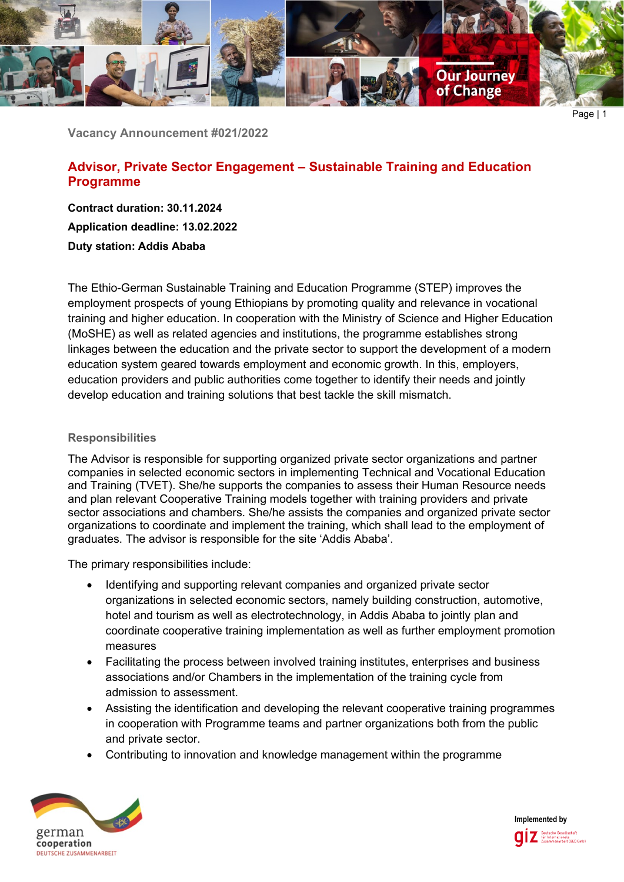

Page | 1

**Vacancy Announcement #021/2022**

# **Advisor, Private Sector Engagement – Sustainable Training and Education Programme**

**Contract duration: 30.11.2024 Application deadline: 13.02.2022 Duty station: Addis Ababa**

The Ethio-German Sustainable Training and Education Programme (STEP) improves the employment prospects of young Ethiopians by promoting quality and relevance in vocational training and higher education. In cooperation with the Ministry of Science and Higher Education (MoSHE) as well as related agencies and institutions, the programme establishes strong linkages between the education and the private sector to support the development of a modern education system geared towards employment and economic growth. In this, employers, education providers and public authorities come together to identify their needs and jointly develop education and training solutions that best tackle the skill mismatch.

#### **Responsibilities**

The Advisor is responsible for supporting organized private sector organizations and partner companies in selected economic sectors in implementing Technical and Vocational Education and Training (TVET). She/he supports the companies to assess their Human Resource needs and plan relevant Cooperative Training models together with training providers and private sector associations and chambers. She/he assists the companies and organized private sector organizations to coordinate and implement the training, which shall lead to the employment of graduates. The advisor is responsible for the site 'Addis Ababa'.

The primary responsibilities include:

- Identifying and supporting relevant companies and organized private sector organizations in selected economic sectors, namely building construction, automotive, hotel and tourism as well as electrotechnology, in Addis Ababa to jointly plan and coordinate cooperative training implementation as well as further employment promotion measures
- Facilitating the process between involved training institutes, enterprises and business associations and/or Chambers in the implementation of the training cycle from admission to assessment.
- Assisting the identification and developing the relevant cooperative training programmes in cooperation with Programme teams and partner organizations both from the public and private sector.
- Contributing to innovation and knowledge management within the programme



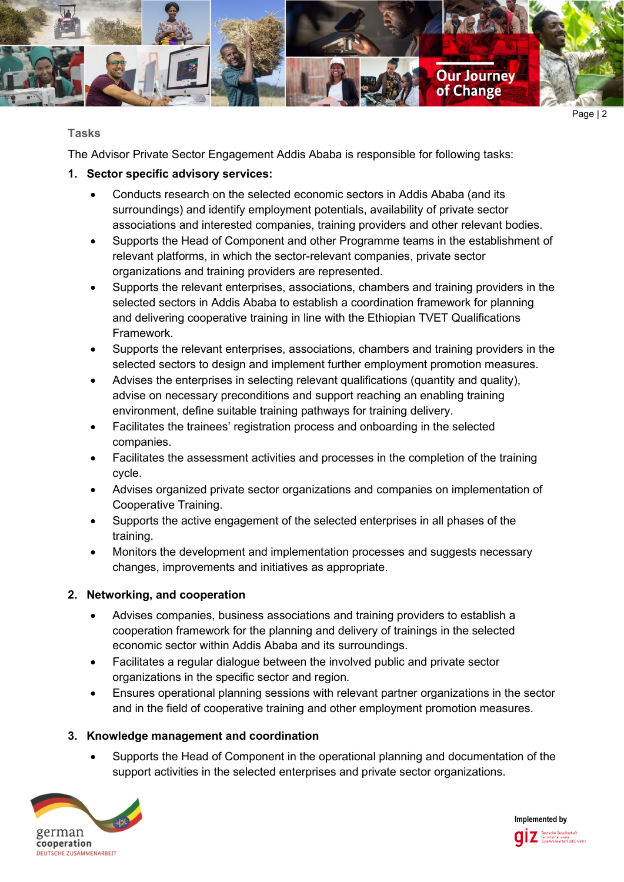

### **Tasks**

The Advisor Private Sector Engagement Addis Ababa is responsible for following tasks:

# **1. Sector specific advisory services:**

- Conducts research on the selected economic sectors in Addis Ababa (and its surroundings) and identify employment potentials, availability of private sector associations and interested companies, training providers and other relevant bodies.
- Supports the Head of Component and other Programme teams in the establishment of relevant platforms, in which the sector-relevant companies, private sector organizations and training providers are represented.
- Supports the relevant enterprises, associations, chambers and training providers in the selected sectors in Addis Ababa to establish a coordination framework for planning and delivering cooperative training in line with the Ethiopian TVET Qualifications Framework.
- Supports the relevant enterprises, associations, chambers and training providers in the selected sectors to design and implement further employment promotion measures.
- Advises the enterprises in selecting relevant qualifications (quantity and quality), advise on necessary preconditions and support reaching an enabling training environment, define suitable training pathways for training delivery.
- Facilitates the trainees' registration process and onboarding in the selected companies.
- Facilitates the assessment activities and processes in the completion of the training cycle.
- Advises organized private sector organizations and companies on implementation of Cooperative Training.
- Supports the active engagement of the selected enterprises in all phases of the training.
- Monitors the development and implementation processes and suggests necessary changes, improvements and initiatives as appropriate.

# **2. Networking, and cooperation**

- Advises companies, business associations and training providers to establish a cooperation framework for the planning and delivery of trainings in the selected economic sector within Addis Ababa and its surroundings.
- Facilitates a regular dialogue between the involved public and private sector organizations in the specific sector and region.
- Ensures operational planning sessions with relevant partner organizations in the sector and in the field of cooperative training and other employment promotion measures.

## **3. Knowledge management and coordination**

• Supports the Head of Component in the operational planning and documentation of the support activities in the selected enterprises and private sector organizations.



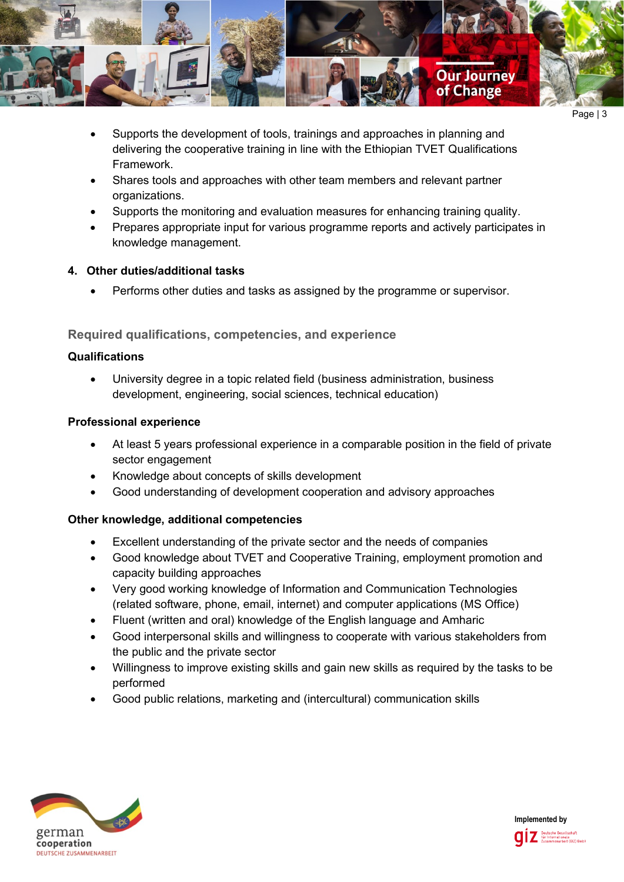

- Supports the development of tools, trainings and approaches in planning and delivering the cooperative training in line with the Ethiopian TVET Qualifications Framework.
- Shares tools and approaches with other team members and relevant partner organizations.
- Supports the monitoring and evaluation measures for enhancing training quality.
- Prepares appropriate input for various programme reports and actively participates in knowledge management.

## **4. Other duties/additional tasks**

• Performs other duties and tasks as assigned by the programme or supervisor.

# **Required qualifications, competencies, and experience**

### **Qualifications**

• University degree in a topic related field (business administration, business development, engineering, social sciences, technical education)

### **Professional experience**

- At least 5 years professional experience in a comparable position in the field of private sector engagement
- Knowledge about concepts of skills development
- Good understanding of development cooperation and advisory approaches

## **Other knowledge, additional competencies**

- Excellent understanding of the private sector and the needs of companies
- Good knowledge about TVET and Cooperative Training, employment promotion and capacity building approaches
- Very good working knowledge of Information and Communication Technologies (related software, phone, email, internet) and computer applications (MS Office)
- Fluent (written and oral) knowledge of the English language and Amharic
- Good interpersonal skills and willingness to cooperate with various stakeholders from the public and the private sector
- Willingness to improve existing skills and gain new skills as required by the tasks to be performed
- Good public relations, marketing and (intercultural) communication skills